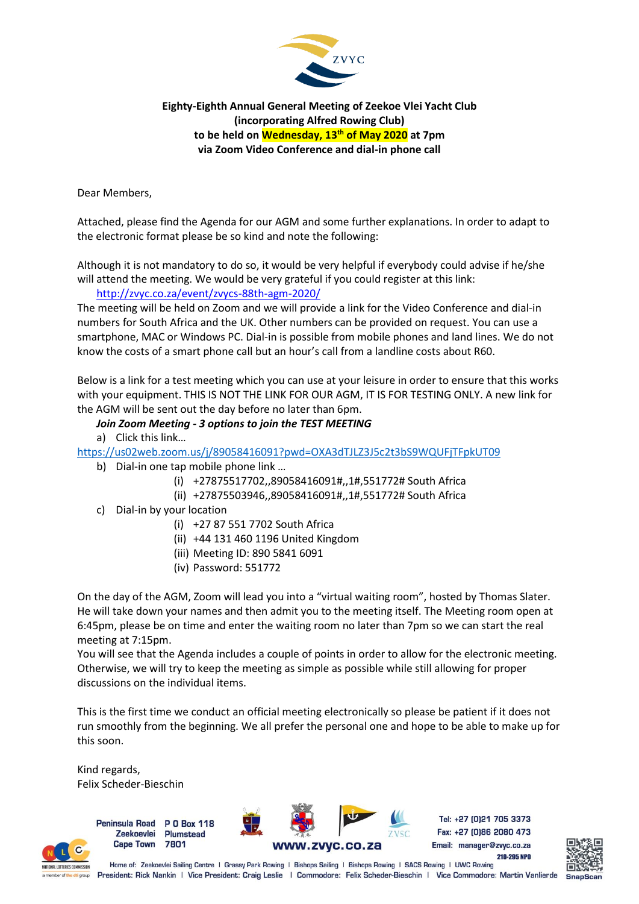

**Eighty-Eighth Annual General Meeting of Zeekoe Vlei Yacht Club (incorporating Alfred Rowing Club) to be held on Wednesday, 13 th of May 2020 at 7pm via Zoom Video Conference and dial-in phone call**

Dear Members,

Attached, please find the Agenda for our AGM and some further explanations. In order to adapt to the electronic format please be so kind and note the following:

Although it is not mandatory to do so, it would be very helpful if everybody could advise if he/she will attend the meeting. We would be very grateful if you could register at this link:

<http://zvyc.co.za/event/zvycs-88th-agm-2020/>

The meeting will be held on Zoom and we will provide a link for the Video Conference and dial-in numbers for South Africa and the UK. Other numbers can be provided on request. You can use a smartphone, MAC or Windows PC. Dial-in is possible from mobile phones and land lines. We do not know the costs of a smart phone call but an hour's call from a landline costs about R60.

Below is a link for a test meeting which you can use at your leisure in order to ensure that this works with your equipment. THIS IS NOT THE LINK FOR OUR AGM, IT IS FOR TESTING ONLY. A new link for the AGM will be sent out the day before no later than 6pm.

## *Join Zoom Meeting - 3 options to join the TEST MEETING*

a) Click this link…

<https://us02web.zoom.us/j/89058416091?pwd=OXA3dTJLZ3J5c2t3bS9WQUFjTFpkUT09>

- b) Dial-in one tap mobile phone link …
	- (i) +27875517702,,89058416091#,,1#,551772# South Africa
	- (ii) +27875503946,,89058416091#,,1#,551772# South Africa
- c) Dial-in by your location
	- (i) +27 87 551 7702 South Africa
	- (ii) +44 131 460 1196 United Kingdom
	- (iii) Meeting ID: 890 5841 6091
	- (iv) Password: 551772

On the day of the AGM, Zoom will lead you into a "virtual waiting room", hosted by Thomas Slater. He will take down your names and then admit you to the meeting itself. The Meeting room open at 6:45pm, please be on time and enter the waiting room no later than 7pm so we can start the real meeting at 7:15pm.

You will see that the Agenda includes a couple of points in order to allow for the electronic meeting. Otherwise, we will try to keep the meeting as simple as possible while still allowing for proper discussions on the individual items.

This is the first time we conduct an official meeting electronically so please be patient if it does not run smoothly from the beginning. We all prefer the personal one and hope to be able to make up for this soon.

Kind regards, Felix Scheder-Bieschin

> Peninsula Road P O Box 118 Zeekoevlei Plumstead **Cape Town** 7801



Tel: +27 (0)21 705 3373 Fax: +27 (0)86 2080 473 Email: manager@zvyc.co.za 210-295 NPO